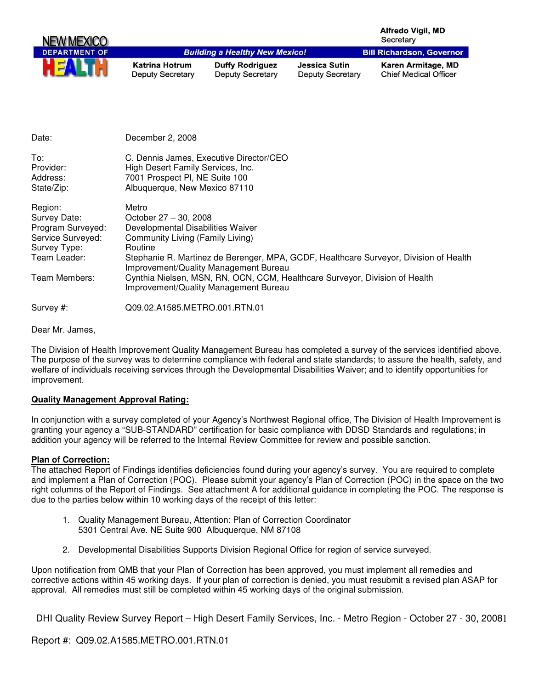| NEW MEXICO           |                                                  |                                                   |                                                 | <b>Alfredo Vigil, MD</b><br>Secretary              |
|----------------------|--------------------------------------------------|---------------------------------------------------|-------------------------------------------------|----------------------------------------------------|
| <b>DEPARTMENT OF</b> |                                                  | <b>Building a Healthy New Mexico!</b>             |                                                 | <b>Bill Richardson, Governor</b>                   |
| HE                   | <b>Katrina Hotrum</b><br><b>Deputy Secretary</b> | <b>Duffy Rodriguez</b><br><b>Deputy Secretary</b> | <b>Jessica Sutin</b><br><b>Deputy Secretary</b> | Karen Armitage, MD<br><b>Chief Medical Officer</b> |

| Date:                                                                                             | December 2, 2008                                                                                                                                                                                                                                     |
|---------------------------------------------------------------------------------------------------|------------------------------------------------------------------------------------------------------------------------------------------------------------------------------------------------------------------------------------------------------|
| To:<br>Provider:<br>Address:<br>State/Zip:                                                        | C. Dennis James, Executive Director/CEO<br>High Desert Family Services, Inc.<br>7001 Prospect PI, NE Suite 100<br>Albuquerque, New Mexico 87110                                                                                                      |
| Region:<br>Survey Date:<br>Program Surveyed:<br>Service Surveyed:<br>Survey Type:<br>Team Leader: | Metro<br>October 27 - 30, 2008<br>Developmental Disabilities Waiver<br>Community Living (Family Living)<br>Routine<br>Stephanie R. Martinez de Berenger, MPA, GCDF, Healthcare Surveyor, Division of Health<br>Improvement/Quality Management Bureau |
| Team Members:                                                                                     | Cynthia Nielsen, MSN, RN, OCN, CCM, Healthcare Surveyor, Division of Health<br>Improvement/Quality Management Bureau                                                                                                                                 |
| Survey #:                                                                                         | Q09.02.A1585.METRO.001.RTN.01                                                                                                                                                                                                                        |

Dear Mr. James,

The Division of Health Improvement Quality Management Bureau has completed a survey of the services identified above. The purpose of the survey was to determine compliance with federal and state standards; to assure the health, safety, and welfare of individuals receiving services through the Developmental Disabilities Waiver; and to identify opportunities for improvement.

## **Quality Management Approval Rating:**

In conjunction with a survey completed of your Agency's Northwest Regional office, The Division of Health Improvement is granting your agency a "SUB-STANDARD" certification for basic compliance with DDSD Standards and regulations; in addition your agency will be referred to the Internal Review Committee for review and possible sanction.

## **Plan of Correction:**

The attached Report of Findings identifies deficiencies found during your agency's survey. You are required to complete and implement a Plan of Correction (POC). Please submit your agency's Plan of Correction (POC) in the space on the two right columns of the Report of Findings. See attachment A for additional guidance in completing the POC. The response is due to the parties below within 10 working days of the receipt of this letter:

- 1. Quality Management Bureau, Attention: Plan of Correction Coordinator 5301 Central Ave. NE Suite 900 Albuquerque, NM 87108
- 2. Developmental Disabilities Supports Division Regional Office for region of service surveyed.

Upon notification from QMB that your Plan of Correction has been approved, you must implement all remedies and corrective actions within 45 working days. If your plan of correction is denied, you must resubmit a revised plan ASAP for approval. All remedies must still be completed within 45 working days of the original submission.

DHI Quality Review Survey Report - High Desert Family Services, Inc. - Metro Region - October 27 - 30, 20081

Report #: Q09.02.A1585.METRO.001.RTN.01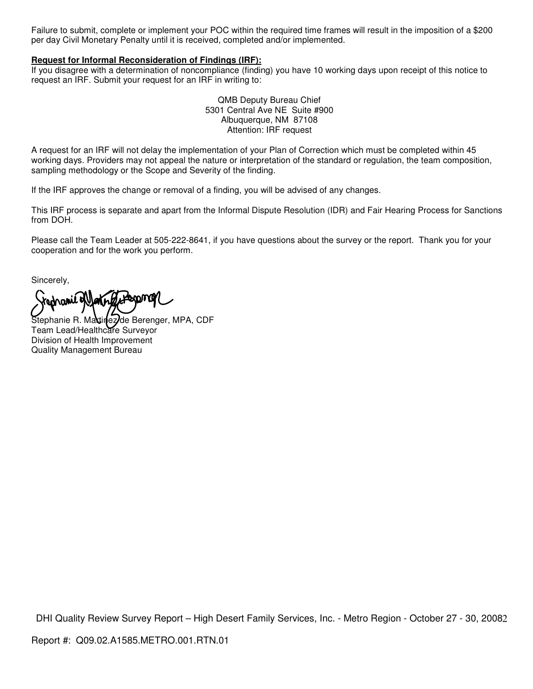Failure to submit, complete or implement your POC within the required time frames will result in the imposition of a \$200 per day Civil Monetary Penalty until it is received, completed and/or implemented.

## **Request for Informal Reconsideration of Findings (IRF):**

If you disagree with a determination of noncompliance (finding) you have 10 working days upon receipt of this notice to request an IRF. Submit your request for an IRF in writing to:

> QMB Deputy Bureau Chief 5301 Central Ave NE Suite #900 Albuquerque, NM 87108 Attention: IRF request

A request for an IRF will not delay the implementation of your Plan of Correction which must be completed within 45 working days. Providers may not appeal the nature or interpretation of the standard or regulation, the team composition, sampling methodology or the Scope and Severity of the finding.

If the IRF approves the change or removal of a finding, you will be advised of any changes.

This IRF process is separate and apart from the Informal Dispute Resolution (IDR) and Fair Hearing Process for Sanctions from DOH.

Please call the Team Leader at 505-222-8641, if you have questions about the survey or the report. Thank you for your cooperation and for the work you perform.

Sincerely,

rednamic of late **boom@** 

Stephanie R. Maxtinez de Berenger, MPA, CDF Team Lead/Healthcare Surveyor Division of Health Improvement Quality Management Bureau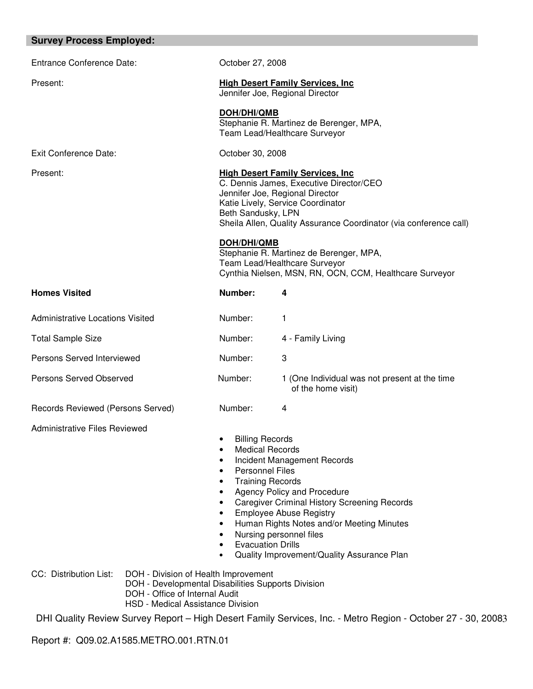| <b>Survey Process Employed:</b>                                                                                                                                                             |                                                                                                                                                                                                                                                                                                                                                                                                              |                                                                                                                                                                                                                                                                           |  |
|---------------------------------------------------------------------------------------------------------------------------------------------------------------------------------------------|--------------------------------------------------------------------------------------------------------------------------------------------------------------------------------------------------------------------------------------------------------------------------------------------------------------------------------------------------------------------------------------------------------------|---------------------------------------------------------------------------------------------------------------------------------------------------------------------------------------------------------------------------------------------------------------------------|--|
| <b>Entrance Conference Date:</b>                                                                                                                                                            | October 27, 2008                                                                                                                                                                                                                                                                                                                                                                                             |                                                                                                                                                                                                                                                                           |  |
| Present:                                                                                                                                                                                    |                                                                                                                                                                                                                                                                                                                                                                                                              | <b>High Desert Family Services, Inc.</b><br>Jennifer Joe, Regional Director                                                                                                                                                                                               |  |
|                                                                                                                                                                                             | DOH/DHI/QMB                                                                                                                                                                                                                                                                                                                                                                                                  | Stephanie R. Martinez de Berenger, MPA,<br>Team Lead/Healthcare Surveyor                                                                                                                                                                                                  |  |
| Exit Conference Date:                                                                                                                                                                       |                                                                                                                                                                                                                                                                                                                                                                                                              | October 30, 2008                                                                                                                                                                                                                                                          |  |
| Present:                                                                                                                                                                                    | <b>High Desert Family Services, Inc.</b><br>C. Dennis James, Executive Director/CEO<br>Jennifer Joe, Regional Director<br>Katie Lively, Service Coordinator<br>Beth Sandusky, LPN<br>Sheila Allen, Quality Assurance Coordinator (via conference call)<br>DOH/DHI/QMB<br>Stephanie R. Martinez de Berenger, MPA,<br>Team Lead/Healthcare Surveyor<br>Cynthia Nielsen, MSN, RN, OCN, CCM, Healthcare Surveyor |                                                                                                                                                                                                                                                                           |  |
| <b>Homes Visited</b>                                                                                                                                                                        | Number:                                                                                                                                                                                                                                                                                                                                                                                                      | 4                                                                                                                                                                                                                                                                         |  |
| <b>Administrative Locations Visited</b>                                                                                                                                                     | Number:                                                                                                                                                                                                                                                                                                                                                                                                      | 1                                                                                                                                                                                                                                                                         |  |
| <b>Total Sample Size</b>                                                                                                                                                                    | Number:                                                                                                                                                                                                                                                                                                                                                                                                      | 4 - Family Living                                                                                                                                                                                                                                                         |  |
| Persons Served Interviewed                                                                                                                                                                  | Number:                                                                                                                                                                                                                                                                                                                                                                                                      | 3                                                                                                                                                                                                                                                                         |  |
| Persons Served Observed                                                                                                                                                                     | Number:                                                                                                                                                                                                                                                                                                                                                                                                      | 1 (One Individual was not present at the time<br>of the home visit)                                                                                                                                                                                                       |  |
| Records Reviewed (Persons Served)                                                                                                                                                           | Number:                                                                                                                                                                                                                                                                                                                                                                                                      | 4                                                                                                                                                                                                                                                                         |  |
| Administrative Files Reviewed                                                                                                                                                               | <b>Billing Records</b><br>$\bullet$<br><b>Medical Records</b><br>$\bullet$<br>$\bullet$<br><b>Personnel Files</b><br>$\bullet$<br><b>Training Records</b><br>$\bullet$<br>$\bullet$<br>$\bullet$<br>$\bullet$<br><b>Evacuation Drills</b><br>$\bullet$<br>$\bullet$                                                                                                                                          | Incident Management Records<br>Agency Policy and Procedure<br><b>Caregiver Criminal History Screening Records</b><br><b>Employee Abuse Registry</b><br>Human Rights Notes and/or Meeting Minutes<br>Nursing personnel files<br>Quality Improvement/Quality Assurance Plan |  |
| CC: Distribution List:<br>DOH - Division of Health Improvement<br>DOH - Developmental Disabilities Supports Division<br>DOH - Office of Internal Audit<br>HSD - Medical Assistance Division |                                                                                                                                                                                                                                                                                                                                                                                                              |                                                                                                                                                                                                                                                                           |  |

Report #: Q09.02.A1585.METRO.001.RTN.01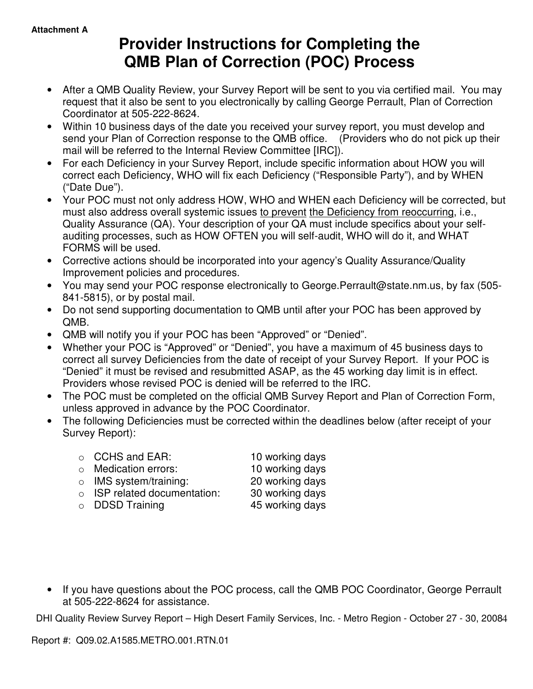# **Provider Instructions for Completing the QMB Plan of Correction (POC) Process**

- After a QMB Quality Review, your Survey Report will be sent to you via certified mail. You may request that it also be sent to you electronically by calling George Perrault, Plan of Correction Coordinator at 505-222-8624.
- Within 10 business days of the date you received your survey report, you must develop and send your Plan of Correction response to the QMB office. (Providers who do not pick up their mail will be referred to the Internal Review Committee [IRC]).
- For each Deficiency in your Survey Report, include specific information about HOW you will correct each Deficiency, WHO will fix each Deficiency ("Responsible Party"), and by WHEN ("Date Due").
- Your POC must not only address HOW, WHO and WHEN each Deficiency will be corrected, but must also address overall systemic issues to prevent the Deficiency from reoccurring, i.e., Quality Assurance (QA). Your description of your QA must include specifics about your selfauditing processes, such as HOW OFTEN you will self-audit, WHO will do it, and WHAT FORMS will be used.
- Corrective actions should be incorporated into your agency's Quality Assurance/Quality Improvement policies and procedures.
- You may send your POC response electronically to George.Perrault@state.nm.us, by fax (505- 841-5815), or by postal mail.
- Do not send supporting documentation to QMB until after your POC has been approved by QMB.
- QMB will notify you if your POC has been "Approved" or "Denied".
- Whether your POC is "Approved" or "Denied", you have a maximum of 45 business days to correct all survey Deficiencies from the date of receipt of your Survey Report. If your POC is "Denied" it must be revised and resubmitted ASAP, as the 45 working day limit is in effect. Providers whose revised POC is denied will be referred to the IRC.
- The POC must be completed on the official QMB Survey Report and Plan of Correction Form, unless approved in advance by the POC Coordinator.
- The following Deficiencies must be corrected within the deadlines below (after receipt of your Survey Report):
	- o CCHS and EAR: 10 working days o Medication errors: 10 working days o IMS system/training: 20 working days o ISP related documentation: 30 working days
	- o DDSD Training 45 working days

• If you have questions about the POC process, call the QMB POC Coordinator, George Perrault at 505-222-8624 for assistance.

DHI Quality Review Survey Report - High Desert Family Services, Inc. - Metro Region - October 27 - 30, 20084

Report #: Q09.02.A1585.METRO.001.RTN.01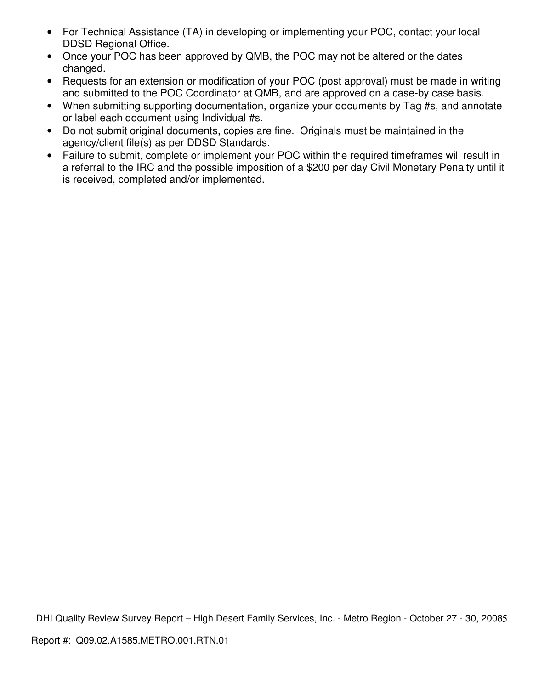- For Technical Assistance (TA) in developing or implementing your POC, contact your local DDSD Regional Office.
- Once your POC has been approved by QMB, the POC may not be altered or the dates changed.
- Requests for an extension or modification of your POC (post approval) must be made in writing and submitted to the POC Coordinator at QMB, and are approved on a case-by case basis.
- When submitting supporting documentation, organize your documents by Tag #s, and annotate or label each document using Individual #s.
- Do not submit original documents, copies are fine. Originals must be maintained in the agency/client file(s) as per DDSD Standards.
- Failure to submit, complete or implement your POC within the required timeframes will result in a referral to the IRC and the possible imposition of a \$200 per day Civil Monetary Penalty until it is received, completed and/or implemented.

DHI Quality Review Survey Report - High Desert Family Services, Inc. - Metro Region - October 27 - 30, 20085 Report #: Q09.02.A1585.METRO.001.RTN.01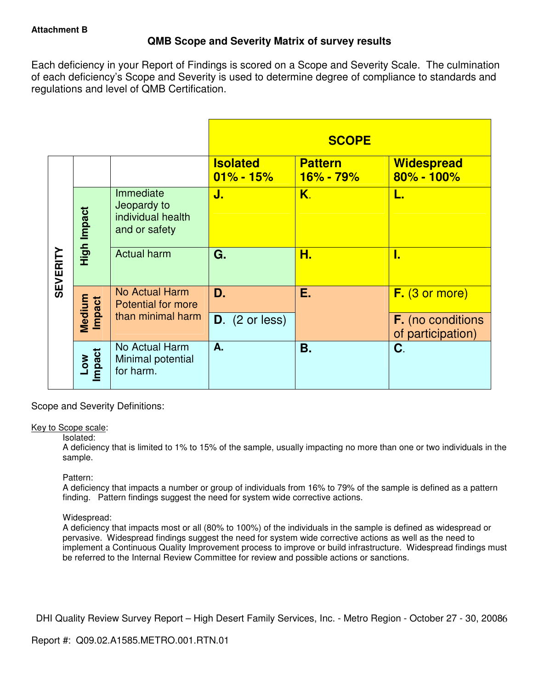# **QMB Scope and Severity Matrix of survey results**

Each deficiency in your Report of Findings is scored on a Scope and Severity Scale. The culmination of each deficiency's Scope and Severity is used to determine degree of compliance to standards and regulations and level of QMB Certification.

|                 |                  |                                                                |                                  | <b>SCOPE</b>                    |                                               |
|-----------------|------------------|----------------------------------------------------------------|----------------------------------|---------------------------------|-----------------------------------------------|
|                 |                  |                                                                | <b>Isolated</b><br>$01\% - 15\%$ | <b>Pattern</b><br>$16\% - 79\%$ | <b>Widespread</b><br>80% - 100%               |
| <b>SEVERITY</b> | High Impact      | Immediate<br>Jeopardy to<br>individual health<br>and or safety | J.                               | Κ.                              | L.                                            |
|                 |                  | <b>Actual harm</b>                                             | G.                               | Н.                              | I.                                            |
|                 | Medium<br>Impact | No Actual Harm<br><b>Potential for more</b>                    | D.                               | Е.                              | $F.$ (3 or more)                              |
|                 |                  | than minimal harm                                              | $D.$ (2 or less)                 |                                 | <b>F.</b> (no conditions<br>of participation) |
|                 | Impact<br>MOT    | No Actual Harm<br>Minimal potential<br>for harm.               | A.                               | <b>B.</b>                       | C.                                            |

Scope and Severity Definitions:

## Key to Scope scale:

## Isolated:

A deficiency that is limited to 1% to 15% of the sample, usually impacting no more than one or two individuals in the sample.

## Pattern:

A deficiency that impacts a number or group of individuals from 16% to 79% of the sample is defined as a pattern finding. Pattern findings suggest the need for system wide corrective actions.

# Widespread:

A deficiency that impacts most or all (80% to 100%) of the individuals in the sample is defined as widespread or pervasive. Widespread findings suggest the need for system wide corrective actions as well as the need to implement a Continuous Quality Improvement process to improve or build infrastructure. Widespread findings must be referred to the Internal Review Committee for review and possible actions or sanctions.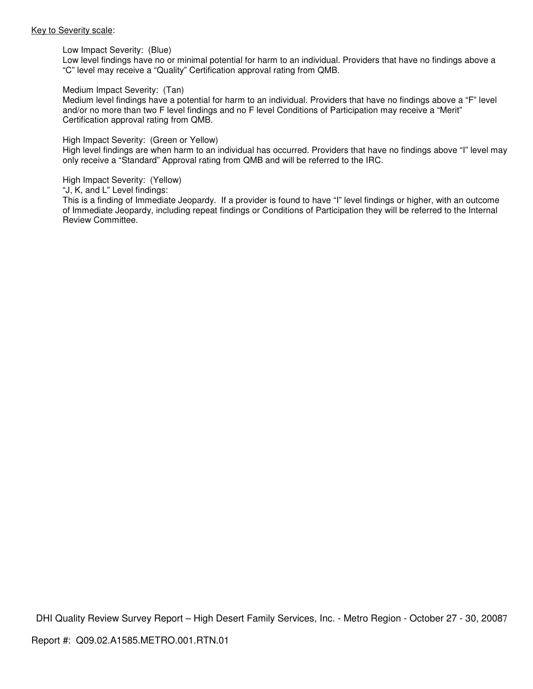#### Key to Severity scale:

Low Impact Severity: (Blue)

Low level findings have no or minimal potential for harm to an individual. Providers that have no findings above a "C" level may receive a "Quality" Certification approval rating from QMB.

#### Medium Impact Severity: (Tan)

Medium level findings have a potential for harm to an individual. Providers that have no findings above a "F" level and/or no more than two F level findings and no F level Conditions of Participation may receive a "Merit" Certification approval rating from QMB.

#### High Impact Severity: (Green or Yellow)

High level findings are when harm to an individual has occurred. Providers that have no findings above "I" level may only receive a "Standard" Approval rating from QMB and will be referred to the IRC.

High Impact Severity: (Yellow)

"J, K, and L" Level findings:

This is a finding of Immediate Jeopardy. If a provider is found to have "I" level findings or higher, with an outcome of Immediate Jeopardy, including repeat findings or Conditions of Participation they will be referred to the Internal Review Committee.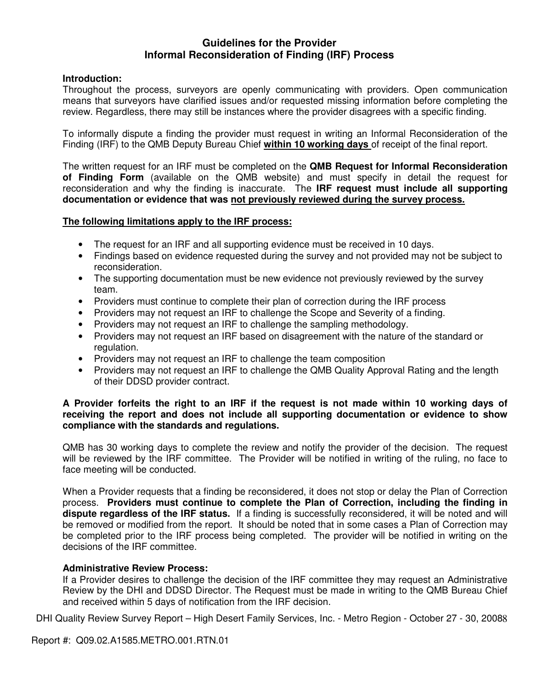# **Guidelines for the Provider Informal Reconsideration of Finding (IRF) Process**

# **Introduction:**

Throughout the process, surveyors are openly communicating with providers. Open communication means that surveyors have clarified issues and/or requested missing information before completing the review. Regardless, there may still be instances where the provider disagrees with a specific finding.

To informally dispute a finding the provider must request in writing an Informal Reconsideration of the Finding (IRF) to the QMB Deputy Bureau Chief **within 10 working days** of receipt of the final report.

The written request for an IRF must be completed on the **QMB Request for Informal Reconsideration of Finding Form** (available on the QMB website) and must specify in detail the request for reconsideration and why the finding is inaccurate. The **IRF request must include all supporting documentation or evidence that was not previously reviewed during the survey process.** 

## **The following limitations apply to the IRF process:**

- The request for an IRF and all supporting evidence must be received in 10 days.
- Findings based on evidence requested during the survey and not provided may not be subject to reconsideration.
- The supporting documentation must be new evidence not previously reviewed by the survey team.
- Providers must continue to complete their plan of correction during the IRF process
- Providers may not request an IRF to challenge the Scope and Severity of a finding.
- Providers may not request an IRF to challenge the sampling methodology.
- Providers may not request an IRF based on disagreement with the nature of the standard or regulation.
- Providers may not request an IRF to challenge the team composition
- Providers may not request an IRF to challenge the QMB Quality Approval Rating and the length of their DDSD provider contract.

## **A Provider forfeits the right to an IRF if the request is not made within 10 working days of receiving the report and does not include all supporting documentation or evidence to show compliance with the standards and regulations.**

QMB has 30 working days to complete the review and notify the provider of the decision. The request will be reviewed by the IRF committee. The Provider will be notified in writing of the ruling, no face to face meeting will be conducted.

When a Provider requests that a finding be reconsidered, it does not stop or delay the Plan of Correction process. **Providers must continue to complete the Plan of Correction, including the finding in dispute regardless of the IRF status.** If a finding is successfully reconsidered, it will be noted and will be removed or modified from the report. It should be noted that in some cases a Plan of Correction may be completed prior to the IRF process being completed. The provider will be notified in writing on the decisions of the IRF committee.

## **Administrative Review Process:**

If a Provider desires to challenge the decision of the IRF committee they may request an Administrative Review by the DHI and DDSD Director. The Request must be made in writing to the QMB Bureau Chief and received within 5 days of notification from the IRF decision.

DHI Quality Review Survey Report - High Desert Family Services, Inc. - Metro Region - October 27 - 30, 20088

Report #: Q09.02.A1585.METRO.001.RTN.01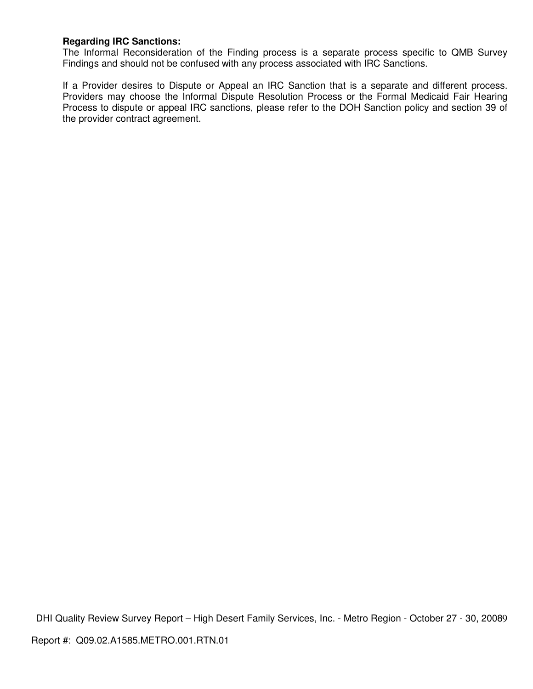# **Regarding IRC Sanctions:**

The Informal Reconsideration of the Finding process is a separate process specific to QMB Survey Findings and should not be confused with any process associated with IRC Sanctions.

If a Provider desires to Dispute or Appeal an IRC Sanction that is a separate and different process. Providers may choose the Informal Dispute Resolution Process or the Formal Medicaid Fair Hearing Process to dispute or appeal IRC sanctions, please refer to the DOH Sanction policy and section 39 of the provider contract agreement.

DHI Quality Review Survey Report - High Desert Family Services, Inc. - Metro Region - October 27 - 30, 20089 Report #: Q09.02.A1585.METRO.001.RTN.01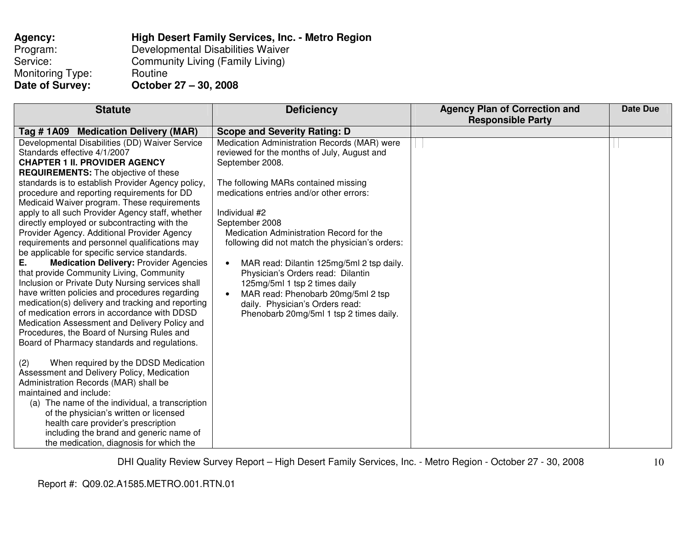| Agency:          | High Desert Family Services, Inc. - Metro Region |
|------------------|--------------------------------------------------|
| Program:         | Developmental Disabilities Waiver                |
| Service:         | Community Living (Family Living)                 |
| Monitoring Type: | Routine                                          |
| Date of Survey:  | October 27 - 30, 2008                            |

| <b>Deficiency</b> | <b>Agency Plan of Correction and</b>                                                                                                                                                                                                                                                                                                                                                                                                                                                                                                                         | Date Due                 |
|-------------------|--------------------------------------------------------------------------------------------------------------------------------------------------------------------------------------------------------------------------------------------------------------------------------------------------------------------------------------------------------------------------------------------------------------------------------------------------------------------------------------------------------------------------------------------------------------|--------------------------|
|                   |                                                                                                                                                                                                                                                                                                                                                                                                                                                                                                                                                              |                          |
|                   |                                                                                                                                                                                                                                                                                                                                                                                                                                                                                                                                                              |                          |
|                   |                                                                                                                                                                                                                                                                                                                                                                                                                                                                                                                                                              |                          |
|                   |                                                                                                                                                                                                                                                                                                                                                                                                                                                                                                                                                              |                          |
|                   |                                                                                                                                                                                                                                                                                                                                                                                                                                                                                                                                                              |                          |
|                   |                                                                                                                                                                                                                                                                                                                                                                                                                                                                                                                                                              |                          |
|                   |                                                                                                                                                                                                                                                                                                                                                                                                                                                                                                                                                              |                          |
|                   |                                                                                                                                                                                                                                                                                                                                                                                                                                                                                                                                                              |                          |
|                   |                                                                                                                                                                                                                                                                                                                                                                                                                                                                                                                                                              |                          |
|                   |                                                                                                                                                                                                                                                                                                                                                                                                                                                                                                                                                              |                          |
|                   |                                                                                                                                                                                                                                                                                                                                                                                                                                                                                                                                                              |                          |
|                   |                                                                                                                                                                                                                                                                                                                                                                                                                                                                                                                                                              |                          |
|                   |                                                                                                                                                                                                                                                                                                                                                                                                                                                                                                                                                              |                          |
|                   |                                                                                                                                                                                                                                                                                                                                                                                                                                                                                                                                                              |                          |
|                   |                                                                                                                                                                                                                                                                                                                                                                                                                                                                                                                                                              |                          |
|                   |                                                                                                                                                                                                                                                                                                                                                                                                                                                                                                                                                              |                          |
|                   |                                                                                                                                                                                                                                                                                                                                                                                                                                                                                                                                                              |                          |
|                   |                                                                                                                                                                                                                                                                                                                                                                                                                                                                                                                                                              |                          |
|                   |                                                                                                                                                                                                                                                                                                                                                                                                                                                                                                                                                              |                          |
|                   |                                                                                                                                                                                                                                                                                                                                                                                                                                                                                                                                                              |                          |
|                   |                                                                                                                                                                                                                                                                                                                                                                                                                                                                                                                                                              |                          |
|                   |                                                                                                                                                                                                                                                                                                                                                                                                                                                                                                                                                              |                          |
|                   |                                                                                                                                                                                                                                                                                                                                                                                                                                                                                                                                                              |                          |
|                   |                                                                                                                                                                                                                                                                                                                                                                                                                                                                                                                                                              |                          |
|                   |                                                                                                                                                                                                                                                                                                                                                                                                                                                                                                                                                              |                          |
|                   |                                                                                                                                                                                                                                                                                                                                                                                                                                                                                                                                                              |                          |
|                   |                                                                                                                                                                                                                                                                                                                                                                                                                                                                                                                                                              |                          |
|                   |                                                                                                                                                                                                                                                                                                                                                                                                                                                                                                                                                              |                          |
|                   |                                                                                                                                                                                                                                                                                                                                                                                                                                                                                                                                                              |                          |
|                   |                                                                                                                                                                                                                                                                                                                                                                                                                                                                                                                                                              |                          |
|                   |                                                                                                                                                                                                                                                                                                                                                                                                                                                                                                                                                              |                          |
|                   |                                                                                                                                                                                                                                                                                                                                                                                                                                                                                                                                                              |                          |
|                   | <b>Scope and Severity Rating: D</b><br>Medication Administration Records (MAR) were<br>reviewed for the months of July, August and<br>The following MARs contained missing<br>medications entries and/or other errors:<br>Medication Administration Record for the<br>following did not match the physician's orders:<br>MAR read: Dilantin 125mg/5ml 2 tsp daily.<br>Physician's Orders read: Dilantin<br>125mg/5ml 1 tsp 2 times daily<br>MAR read: Phenobarb 20mg/5ml 2 tsp<br>daily. Physician's Orders read:<br>Phenobarb 20mg/5ml 1 tsp 2 times daily. | <b>Responsible Party</b> |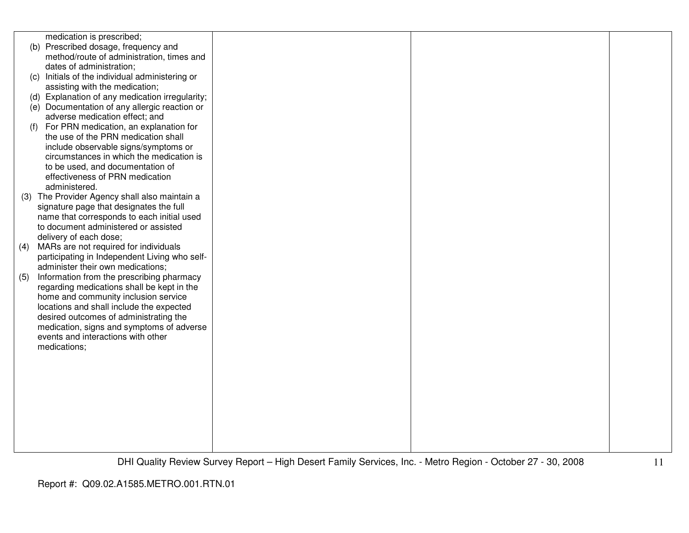|     | medication is prescribed;                       |  |  |
|-----|-------------------------------------------------|--|--|
|     | (b) Prescribed dosage, frequency and            |  |  |
|     | method/route of administration, times and       |  |  |
|     | dates of administration;                        |  |  |
|     | (c) Initials of the individual administering or |  |  |
|     | assisting with the medication;                  |  |  |
|     | (d) Explanation of any medication irregularity; |  |  |
|     | (e) Documentation of any allergic reaction or   |  |  |
|     | adverse medication effect; and                  |  |  |
| (f) | For PRN medication, an explanation for          |  |  |
|     | the use of the PRN medication shall             |  |  |
|     | include observable signs/symptoms or            |  |  |
|     | circumstances in which the medication is        |  |  |
|     | to be used, and documentation of                |  |  |
|     | effectiveness of PRN medication                 |  |  |
|     | administered.                                   |  |  |
|     | (3) The Provider Agency shall also maintain a   |  |  |
|     | signature page that designates the full         |  |  |
|     | name that corresponds to each initial used      |  |  |
|     | to document administered or assisted            |  |  |
|     | delivery of each dose;                          |  |  |
| (4) | MARs are not required for individuals           |  |  |
|     | participating in Independent Living who self-   |  |  |
|     | administer their own medications;               |  |  |
| (5) | Information from the prescribing pharmacy       |  |  |
|     | regarding medications shall be kept in the      |  |  |
|     | home and community inclusion service            |  |  |
|     | locations and shall include the expected        |  |  |
|     | desired outcomes of administrating the          |  |  |
|     | medication, signs and symptoms of adverse       |  |  |
|     | events and interactions with other              |  |  |
|     | medications;                                    |  |  |
|     |                                                 |  |  |
|     |                                                 |  |  |
|     |                                                 |  |  |
|     |                                                 |  |  |
|     |                                                 |  |  |
|     |                                                 |  |  |
|     |                                                 |  |  |
|     |                                                 |  |  |
|     |                                                 |  |  |
|     |                                                 |  |  |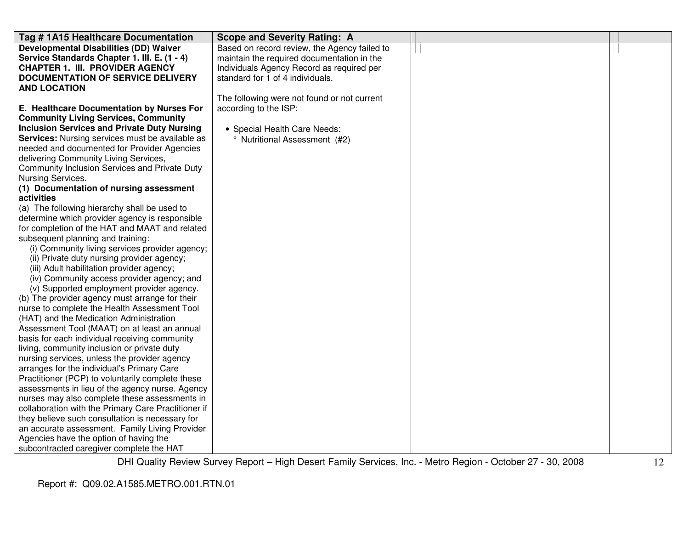| Tag #1A15 Healthcare Documentation                                                             | <b>Scope and Severity Rating: A</b>          |  |
|------------------------------------------------------------------------------------------------|----------------------------------------------|--|
| <b>Developmental Disabilities (DD) Waiver</b>                                                  | Based on record review, the Agency failed to |  |
| Service Standards Chapter 1. III. E. (1 - 4)                                                   | maintain the required documentation in the   |  |
| <b>CHAPTER 1. III. PROVIDER AGENCY</b>                                                         | Individuals Agency Record as required per    |  |
| <b>DOCUMENTATION OF SERVICE DELIVERY</b>                                                       | standard for 1 of 4 individuals.             |  |
| <b>AND LOCATION</b>                                                                            |                                              |  |
|                                                                                                | The following were not found or not current  |  |
| E. Healthcare Documentation by Nurses For                                                      | according to the ISP:                        |  |
| <b>Community Living Services, Community</b>                                                    |                                              |  |
| <b>Inclusion Services and Private Duty Nursing</b>                                             | • Special Health Care Needs:                 |  |
| <b>Services:</b> Nursing services must be available as                                         | <sup>o</sup> Nutritional Assessment (#2)     |  |
| needed and documented for Provider Agencies                                                    |                                              |  |
| delivering Community Living Services,                                                          |                                              |  |
| Community Inclusion Services and Private Duty                                                  |                                              |  |
| Nursing Services.                                                                              |                                              |  |
| (1) Documentation of nursing assessment                                                        |                                              |  |
| activities                                                                                     |                                              |  |
| (a) The following hierarchy shall be used to<br>determine which provider agency is responsible |                                              |  |
| for completion of the HAT and MAAT and related                                                 |                                              |  |
| subsequent planning and training:                                                              |                                              |  |
| (i) Community living services provider agency;                                                 |                                              |  |
| (ii) Private duty nursing provider agency;                                                     |                                              |  |
| (iii) Adult habilitation provider agency;                                                      |                                              |  |
| (iv) Community access provider agency; and                                                     |                                              |  |
| (v) Supported employment provider agency.                                                      |                                              |  |
| (b) The provider agency must arrange for their                                                 |                                              |  |
| nurse to complete the Health Assessment Tool                                                   |                                              |  |
| (HAT) and the Medication Administration                                                        |                                              |  |
| Assessment Tool (MAAT) on at least an annual                                                   |                                              |  |
| basis for each individual receiving community                                                  |                                              |  |
| living, community inclusion or private duty                                                    |                                              |  |
| nursing services, unless the provider agency                                                   |                                              |  |
| arranges for the individual's Primary Care                                                     |                                              |  |
| Practitioner (PCP) to voluntarily complete these                                               |                                              |  |
| assessments in lieu of the agency nurse. Agency                                                |                                              |  |
| nurses may also complete these assessments in                                                  |                                              |  |
| collaboration with the Primary Care Practitioner if                                            |                                              |  |
| they believe such consultation is necessary for                                                |                                              |  |
| an accurate assessment. Family Living Provider                                                 |                                              |  |
| Agencies have the option of having the                                                         |                                              |  |
| subcontracted caregiver complete the HAT                                                       |                                              |  |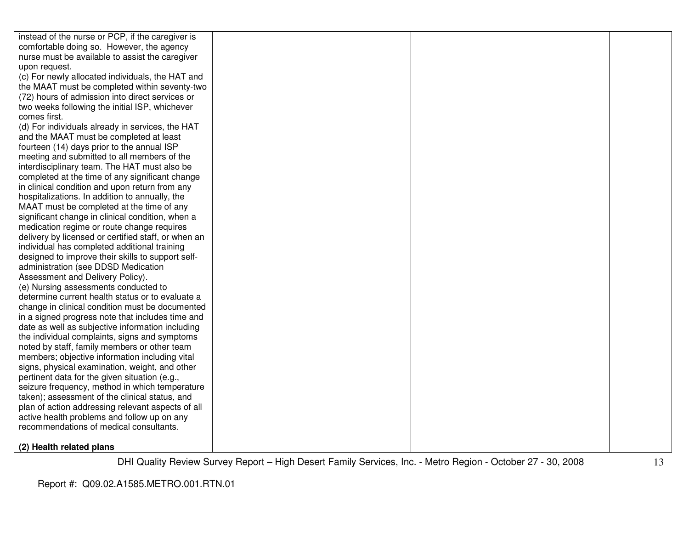| instead of the nurse or PCP, if the caregiver is                                                 |  |  |
|--------------------------------------------------------------------------------------------------|--|--|
| comfortable doing so. However, the agency                                                        |  |  |
| nurse must be available to assist the caregiver                                                  |  |  |
| upon request.                                                                                    |  |  |
| (c) For newly allocated individuals, the HAT and                                                 |  |  |
| the MAAT must be completed within seventy-two                                                    |  |  |
| (72) hours of admission into direct services or                                                  |  |  |
| two weeks following the initial ISP, whichever                                                   |  |  |
| comes first.                                                                                     |  |  |
| (d) For individuals already in services, the HAT                                                 |  |  |
| and the MAAT must be completed at least                                                          |  |  |
| fourteen (14) days prior to the annual ISP                                                       |  |  |
| meeting and submitted to all members of the                                                      |  |  |
| interdisciplinary team. The HAT must also be                                                     |  |  |
| completed at the time of any significant change                                                  |  |  |
| in clinical condition and upon return from any                                                   |  |  |
| hospitalizations. In addition to annually, the                                                   |  |  |
| MAAT must be completed at the time of any                                                        |  |  |
| significant change in clinical condition, when a                                                 |  |  |
| medication regime or route change requires                                                       |  |  |
| delivery by licensed or certified staff, or when an                                              |  |  |
| individual has completed additional training                                                     |  |  |
| designed to improve their skills to support self-                                                |  |  |
| administration (see DDSD Medication                                                              |  |  |
| Assessment and Delivery Policy).                                                                 |  |  |
| (e) Nursing assessments conducted to                                                             |  |  |
| determine current health status or to evaluate a                                                 |  |  |
| change in clinical condition must be documented                                                  |  |  |
| in a signed progress note that includes time and                                                 |  |  |
| date as well as subjective information including                                                 |  |  |
| the individual complaints, signs and symptoms                                                    |  |  |
| noted by staff, family members or other team                                                     |  |  |
| members; objective information including vital                                                   |  |  |
| signs, physical examination, weight, and other                                                   |  |  |
| pertinent data for the given situation (e.g.,                                                    |  |  |
| seizure frequency, method in which temperature<br>taken); assessment of the clinical status, and |  |  |
| plan of action addressing relevant aspects of all                                                |  |  |
| active health problems and follow up on any                                                      |  |  |
| recommendations of medical consultants.                                                          |  |  |
|                                                                                                  |  |  |
| (2) Health related plans                                                                         |  |  |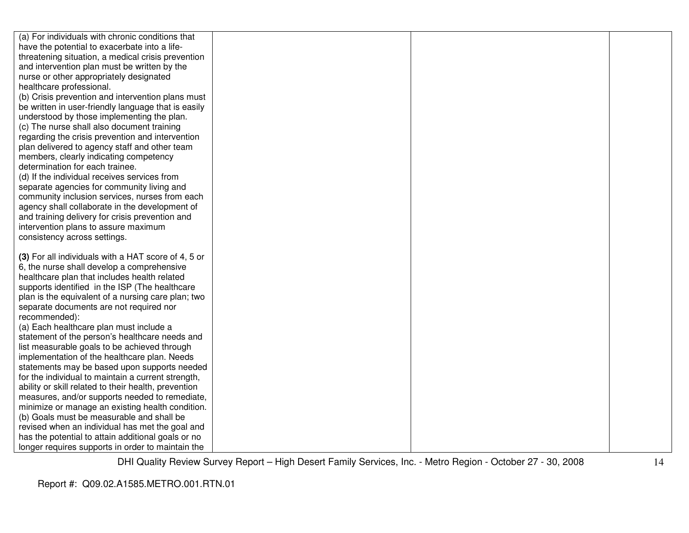| (a) For individuals with chronic conditions that     |  |  |
|------------------------------------------------------|--|--|
| have the potential to exacerbate into a life-        |  |  |
| threatening situation, a medical crisis prevention   |  |  |
| and intervention plan must be written by the         |  |  |
| nurse or other appropriately designated              |  |  |
| healthcare professional.                             |  |  |
| (b) Crisis prevention and intervention plans must    |  |  |
| be written in user-friendly language that is easily  |  |  |
| understood by those implementing the plan.           |  |  |
| (c) The nurse shall also document training           |  |  |
| regarding the crisis prevention and intervention     |  |  |
| plan delivered to agency staff and other team        |  |  |
| members, clearly indicating competency               |  |  |
| determination for each trainee.                      |  |  |
| (d) If the individual receives services from         |  |  |
| separate agencies for community living and           |  |  |
| community inclusion services, nurses from each       |  |  |
| agency shall collaborate in the development of       |  |  |
| and training delivery for crisis prevention and      |  |  |
| intervention plans to assure maximum                 |  |  |
| consistency across settings.                         |  |  |
|                                                      |  |  |
| (3) For all individuals with a HAT score of 4, 5 or  |  |  |
| 6, the nurse shall develop a comprehensive           |  |  |
| healthcare plan that includes health related         |  |  |
| supports identified in the ISP (The healthcare       |  |  |
| plan is the equivalent of a nursing care plan; two   |  |  |
| separate documents are not required nor              |  |  |
| recommended):                                        |  |  |
| (a) Each healthcare plan must include a              |  |  |
| statement of the person's healthcare needs and       |  |  |
| list measurable goals to be achieved through         |  |  |
| implementation of the healthcare plan. Needs         |  |  |
| statements may be based upon supports needed         |  |  |
| for the individual to maintain a current strength,   |  |  |
| ability or skill related to their health, prevention |  |  |
| measures, and/or supports needed to remediate,       |  |  |
| minimize or manage an existing health condition.     |  |  |
| (b) Goals must be measurable and shall be            |  |  |
| revised when an individual has met the goal and      |  |  |
| has the potential to attain additional goals or no   |  |  |
| longer requires supports in order to maintain the    |  |  |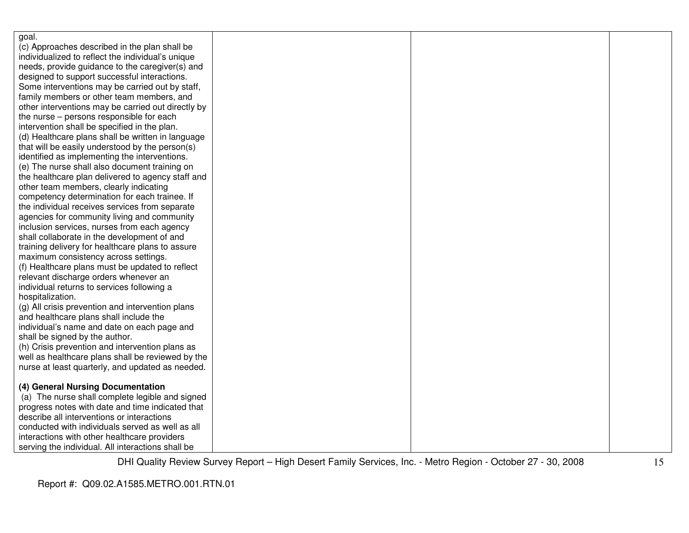| goal.                                              |  |  |
|----------------------------------------------------|--|--|
| (c) Approaches described in the plan shall be      |  |  |
| individualized to reflect the individual's unique  |  |  |
| needs, provide guidance to the caregiver(s) and    |  |  |
| designed to support successful interactions.       |  |  |
| Some interventions may be carried out by staff,    |  |  |
| family members or other team members, and          |  |  |
| other interventions may be carried out directly by |  |  |
| the nurse – persons responsible for each           |  |  |
| intervention shall be specified in the plan.       |  |  |
| (d) Healthcare plans shall be written in language  |  |  |
| that will be easily understood by the person(s)    |  |  |
| identified as implementing the interventions.      |  |  |
| (e) The nurse shall also document training on      |  |  |
| the healthcare plan delivered to agency staff and  |  |  |
| other team members, clearly indicating             |  |  |
| competency determination for each trainee. If      |  |  |
| the individual receives services from separate     |  |  |
| agencies for community living and community        |  |  |
| inclusion services, nurses from each agency        |  |  |
| shall collaborate in the development of and        |  |  |
| training delivery for healthcare plans to assure   |  |  |
| maximum consistency across settings.               |  |  |
| (f) Healthcare plans must be updated to reflect    |  |  |
| relevant discharge orders whenever an              |  |  |
| individual returns to services following a         |  |  |
| hospitalization.                                   |  |  |
| (g) All crisis prevention and intervention plans   |  |  |
| and healthcare plans shall include the             |  |  |
| individual's name and date on each page and        |  |  |
| shall be signed by the author.                     |  |  |
| (h) Crisis prevention and intervention plans as    |  |  |
| well as healthcare plans shall be reviewed by the  |  |  |
| nurse at least quarterly, and updated as needed.   |  |  |
|                                                    |  |  |
| (4) General Nursing Documentation                  |  |  |
| (a) The nurse shall complete legible and signed    |  |  |
| progress notes with date and time indicated that   |  |  |
| describe all interventions or interactions         |  |  |
| conducted with individuals served as well as all   |  |  |
| interactions with other healthcare providers       |  |  |
| serving the individual. All interactions shall be  |  |  |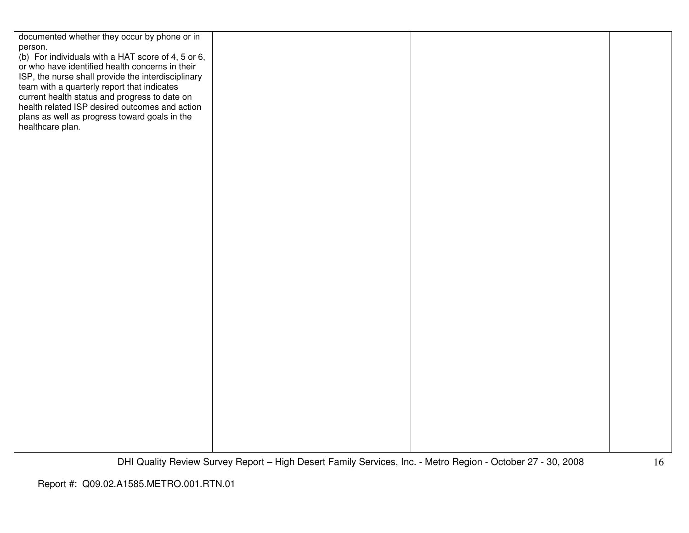| documented whether they occur by phone or in                                                      |  |  |
|---------------------------------------------------------------------------------------------------|--|--|
| person.<br>(b) For individuals with a HAT score of 4, 5 or 6,                                     |  |  |
| or who have identified health concerns in their                                                   |  |  |
| ISP, the nurse shall provide the interdisciplinary<br>team with a quarterly report that indicates |  |  |
| current health status and progress to date on<br>health related ISP desired outcomes and action   |  |  |
|                                                                                                   |  |  |
| plans as well as progress toward goals in the<br>healthcare plan.                                 |  |  |
|                                                                                                   |  |  |
|                                                                                                   |  |  |
|                                                                                                   |  |  |
|                                                                                                   |  |  |
|                                                                                                   |  |  |
|                                                                                                   |  |  |
|                                                                                                   |  |  |
|                                                                                                   |  |  |
|                                                                                                   |  |  |
|                                                                                                   |  |  |
|                                                                                                   |  |  |
|                                                                                                   |  |  |
|                                                                                                   |  |  |
|                                                                                                   |  |  |
|                                                                                                   |  |  |
|                                                                                                   |  |  |
|                                                                                                   |  |  |
|                                                                                                   |  |  |
|                                                                                                   |  |  |
|                                                                                                   |  |  |
|                                                                                                   |  |  |
|                                                                                                   |  |  |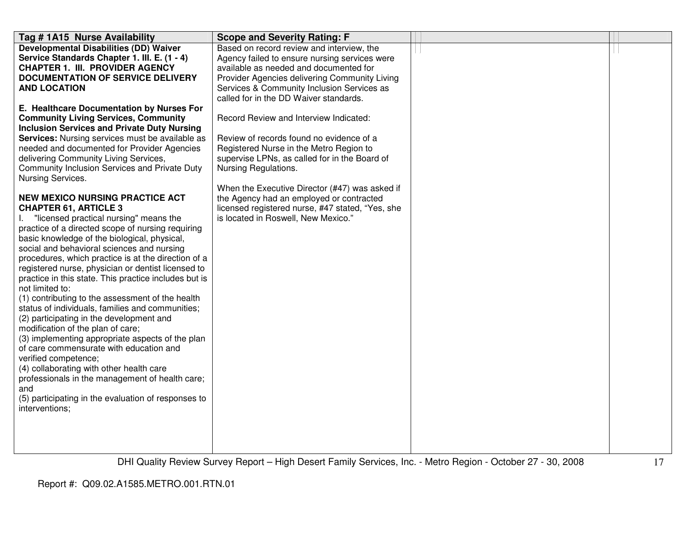| Tag # 1A15 Nurse Availability                                                                                                                                                                                                                                                                                                                                                                                                                                                                                                                                                                                                                                                                                                                                                                                                                                                                                                                               | <b>Scope and Severity Rating: F</b>                                                                                                                                                                                                                                           |  |
|-------------------------------------------------------------------------------------------------------------------------------------------------------------------------------------------------------------------------------------------------------------------------------------------------------------------------------------------------------------------------------------------------------------------------------------------------------------------------------------------------------------------------------------------------------------------------------------------------------------------------------------------------------------------------------------------------------------------------------------------------------------------------------------------------------------------------------------------------------------------------------------------------------------------------------------------------------------|-------------------------------------------------------------------------------------------------------------------------------------------------------------------------------------------------------------------------------------------------------------------------------|--|
| <b>Developmental Disabilities (DD) Waiver</b><br>Service Standards Chapter 1. III. E. (1 - 4)<br><b>CHAPTER 1. III. PROVIDER AGENCY</b><br><b>DOCUMENTATION OF SERVICE DELIVERY</b><br><b>AND LOCATION</b><br>E. Healthcare Documentation by Nurses For                                                                                                                                                                                                                                                                                                                                                                                                                                                                                                                                                                                                                                                                                                     | Based on record review and interview, the<br>Agency failed to ensure nursing services were<br>available as needed and documented for<br>Provider Agencies delivering Community Living<br>Services & Community Inclusion Services as<br>called for in the DD Waiver standards. |  |
| <b>Community Living Services, Community</b><br><b>Inclusion Services and Private Duty Nursing</b><br>Services: Nursing services must be available as<br>needed and documented for Provider Agencies<br>delivering Community Living Services,<br>Community Inclusion Services and Private Duty<br>Nursing Services.                                                                                                                                                                                                                                                                                                                                                                                                                                                                                                                                                                                                                                          | Record Review and Interview Indicated:<br>Review of records found no evidence of a<br>Registered Nurse in the Metro Region to<br>supervise LPNs, as called for in the Board of<br>Nursing Regulations.<br>When the Executive Director (#47) was asked if                      |  |
| <b>NEW MEXICO NURSING PRACTICE ACT</b><br><b>CHAPTER 61, ARTICLE 3</b><br>"licensed practical nursing" means the<br>practice of a directed scope of nursing requiring<br>basic knowledge of the biological, physical,<br>social and behavioral sciences and nursing<br>procedures, which practice is at the direction of a<br>registered nurse, physician or dentist licensed to<br>practice in this state. This practice includes but is<br>not limited to:<br>(1) contributing to the assessment of the health<br>status of individuals, families and communities;<br>(2) participating in the development and<br>modification of the plan of care;<br>(3) implementing appropriate aspects of the plan<br>of care commensurate with education and<br>verified competence;<br>(4) collaborating with other health care<br>professionals in the management of health care;<br>and<br>(5) participating in the evaluation of responses to<br>interventions; | the Agency had an employed or contracted<br>licensed registered nurse, #47 stated, "Yes, she<br>is located in Roswell, New Mexico."                                                                                                                                           |  |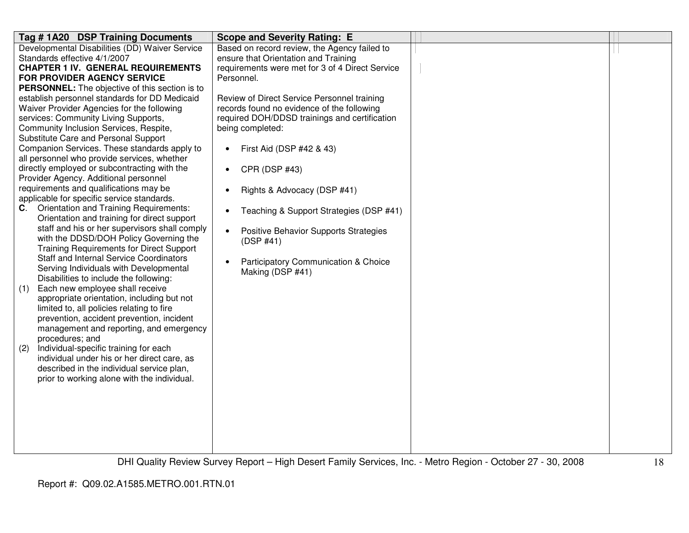| Developmental Disabilities (DD) Waiver Service<br>Based on record review, the Agency failed to                           |  |
|--------------------------------------------------------------------------------------------------------------------------|--|
| Standards effective 4/1/2007<br>ensure that Orientation and Training                                                     |  |
| <b>CHAPTER 1 IV. GENERAL REQUIREMENTS</b><br>requirements were met for 3 of 4 Direct Service                             |  |
| FOR PROVIDER AGENCY SERVICE<br>Personnel.                                                                                |  |
| <b>PERSONNEL:</b> The objective of this section is to                                                                    |  |
| establish personnel standards for DD Medicaid<br>Review of Direct Service Personnel training                             |  |
| Waiver Provider Agencies for the following<br>records found no evidence of the following                                 |  |
| services: Community Living Supports,<br>required DOH/DDSD trainings and certification                                    |  |
| Community Inclusion Services, Respite,<br>being completed:                                                               |  |
| Substitute Care and Personal Support                                                                                     |  |
| Companion Services. These standards apply to<br>First Aid (DSP #42 & 43)<br>$\bullet$                                    |  |
| all personnel who provide services, whether                                                                              |  |
| directly employed or subcontracting with the<br>CPR (DSP #43)                                                            |  |
| Provider Agency. Additional personnel                                                                                    |  |
| requirements and qualifications may be<br>Rights & Advocacy (DSP #41)<br>٠<br>applicable for specific service standards. |  |
| <b>Orientation and Training Requirements:</b><br>C.                                                                      |  |
| Teaching & Support Strategies (DSP #41)<br>$\bullet$<br>Orientation and training for direct support                      |  |
| staff and his or her supervisors shall comply                                                                            |  |
| Positive Behavior Supports Strategies<br>$\bullet$<br>with the DDSD/DOH Policy Governing the                             |  |
| (DSP #41)<br><b>Training Requirements for Direct Support</b>                                                             |  |
| <b>Staff and Internal Service Coordinators</b>                                                                           |  |
| Participatory Communication & Choice<br>Serving Individuals with Developmental                                           |  |
| Making (DSP #41)<br>Disabilities to include the following:                                                               |  |
| Each new employee shall receive<br>(1)                                                                                   |  |
| appropriate orientation, including but not                                                                               |  |
| limited to, all policies relating to fire                                                                                |  |
| prevention, accident prevention, incident                                                                                |  |
| management and reporting, and emergency                                                                                  |  |
| procedures; and                                                                                                          |  |
| (2)<br>Individual-specific training for each                                                                             |  |
| individual under his or her direct care, as                                                                              |  |
| described in the individual service plan,                                                                                |  |
| prior to working alone with the individual.                                                                              |  |
|                                                                                                                          |  |
|                                                                                                                          |  |
|                                                                                                                          |  |
|                                                                                                                          |  |
|                                                                                                                          |  |
|                                                                                                                          |  |
|                                                                                                                          |  |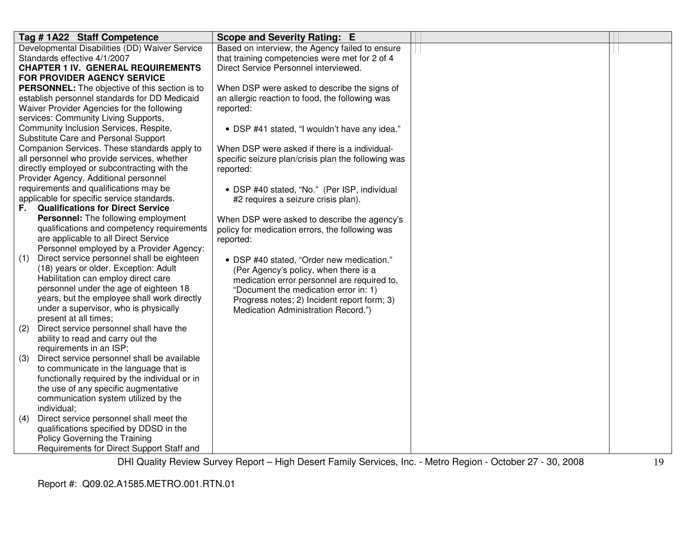|     | Tag # 1A22 Staff Competence                                                         | Scope and Severity Rating: E                        |  |
|-----|-------------------------------------------------------------------------------------|-----------------------------------------------------|--|
|     | Developmental Disabilities (DD) Waiver Service                                      | Based on interview, the Agency failed to ensure     |  |
|     | Standards effective 4/1/2007                                                        | that training competencies were met for 2 of 4      |  |
|     | <b>CHAPTER 1 IV. GENERAL REQUIREMENTS</b>                                           | Direct Service Personnel interviewed.               |  |
|     | <b>FOR PROVIDER AGENCY SERVICE</b>                                                  |                                                     |  |
|     | PERSONNEL: The objective of this section is to                                      | When DSP were asked to describe the signs of        |  |
|     | establish personnel standards for DD Medicaid                                       | an allergic reaction to food, the following was     |  |
|     | Waiver Provider Agencies for the following                                          | reported:                                           |  |
|     | services: Community Living Supports,                                                |                                                     |  |
|     | Community Inclusion Services, Respite,                                              | • DSP #41 stated, "I wouldn't have any idea."       |  |
|     | Substitute Care and Personal Support                                                |                                                     |  |
|     | Companion Services. These standards apply to                                        | When DSP were asked if there is a individual-       |  |
|     | all personnel who provide services, whether                                         | specific seizure plan/crisis plan the following was |  |
|     | directly employed or subcontracting with the                                        | reported:                                           |  |
|     | Provider Agency. Additional personnel                                               |                                                     |  |
|     | requirements and qualifications may be                                              | • DSP #40 stated, "No." (Per ISP, individual        |  |
|     | applicable for specific service standards.                                          | #2 requires a seizure crisis plan).                 |  |
| F.  | <b>Qualifications for Direct Service</b>                                            |                                                     |  |
|     | <b>Personnel:</b> The following employment                                          | When DSP were asked to describe the agency's        |  |
|     | qualifications and competency requirements                                          | policy for medication errors, the following was     |  |
|     | are applicable to all Direct Service                                                | reported:                                           |  |
|     | Personnel employed by a Provider Agency:                                            |                                                     |  |
| (1) | Direct service personnel shall be eighteen<br>(18) years or older. Exception: Adult | • DSP #40 stated, "Order new medication."           |  |
|     | Habilitation can employ direct care                                                 | (Per Agency's policy, when there is a               |  |
|     | personnel under the age of eighteen 18                                              | medication error personnel are required to,         |  |
|     | years, but the employee shall work directly                                         | "Document the medication error in: 1)               |  |
|     | under a supervisor, who is physically                                               | Progress notes; 2) Incident report form; 3)         |  |
|     | present at all times;                                                               | Medication Administration Record.")                 |  |
| (2) | Direct service personnel shall have the                                             |                                                     |  |
|     | ability to read and carry out the                                                   |                                                     |  |
|     | requirements in an ISP;                                                             |                                                     |  |
| (3) | Direct service personnel shall be available                                         |                                                     |  |
|     | to communicate in the language that is                                              |                                                     |  |
|     | functionally required by the individual or in                                       |                                                     |  |
|     | the use of any specific augmentative                                                |                                                     |  |
|     | communication system utilized by the                                                |                                                     |  |
|     | individual;                                                                         |                                                     |  |
| (4) | Direct service personnel shall meet the                                             |                                                     |  |
|     | qualifications specified by DDSD in the                                             |                                                     |  |
|     | Policy Governing the Training                                                       |                                                     |  |
|     | Requirements for Direct Support Staff and                                           |                                                     |  |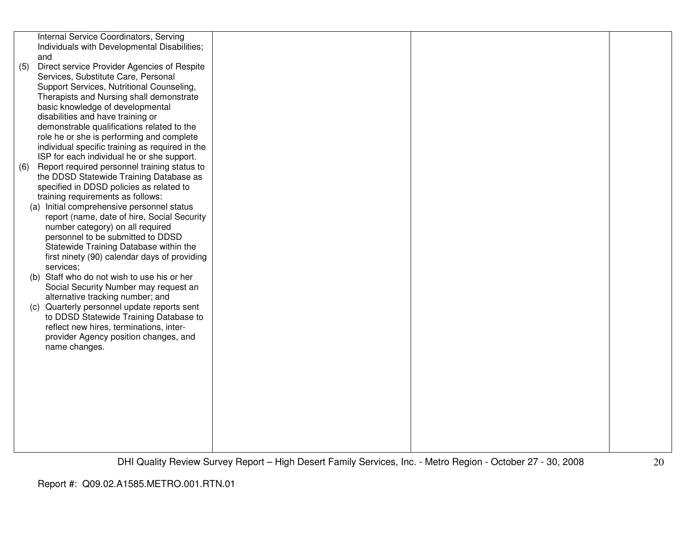|     | Internal Service Coordinators, Serving                                              |  |  |
|-----|-------------------------------------------------------------------------------------|--|--|
|     | Individuals with Developmental Disabilities;<br>and                                 |  |  |
| (5) | Direct service Provider Agencies of Respite                                         |  |  |
|     | Services, Substitute Care, Personal                                                 |  |  |
|     | Support Services, Nutritional Counseling,                                           |  |  |
|     | Therapists and Nursing shall demonstrate                                            |  |  |
|     | basic knowledge of developmental                                                    |  |  |
|     | disabilities and have training or                                                   |  |  |
|     | demonstrable qualifications related to the                                          |  |  |
|     | role he or she is performing and complete                                           |  |  |
|     | individual specific training as required in the                                     |  |  |
|     | ISP for each individual he or she support.                                          |  |  |
| (6) | Report required personnel training status to                                        |  |  |
|     | the DDSD Statewide Training Database as<br>specified in DDSD policies as related to |  |  |
|     | training requirements as follows:                                                   |  |  |
|     | (a) Initial comprehensive personnel status                                          |  |  |
|     | report (name, date of hire, Social Security                                         |  |  |
|     | number category) on all required                                                    |  |  |
|     | personnel to be submitted to DDSD                                                   |  |  |
|     | Statewide Training Database within the                                              |  |  |
|     | first ninety (90) calendar days of providing                                        |  |  |
|     | services;                                                                           |  |  |
|     | (b) Staff who do not wish to use his or her                                         |  |  |
|     | Social Security Number may request an                                               |  |  |
|     | alternative tracking number; and<br>(c) Quarterly personnel update reports sent     |  |  |
|     | to DDSD Statewide Training Database to                                              |  |  |
|     | reflect new hires, terminations, inter-                                             |  |  |
|     | provider Agency position changes, and                                               |  |  |
|     | name changes.                                                                       |  |  |
|     |                                                                                     |  |  |
|     |                                                                                     |  |  |
|     |                                                                                     |  |  |
|     |                                                                                     |  |  |
|     |                                                                                     |  |  |
|     |                                                                                     |  |  |
|     |                                                                                     |  |  |
|     |                                                                                     |  |  |
|     |                                                                                     |  |  |
|     |                                                                                     |  |  |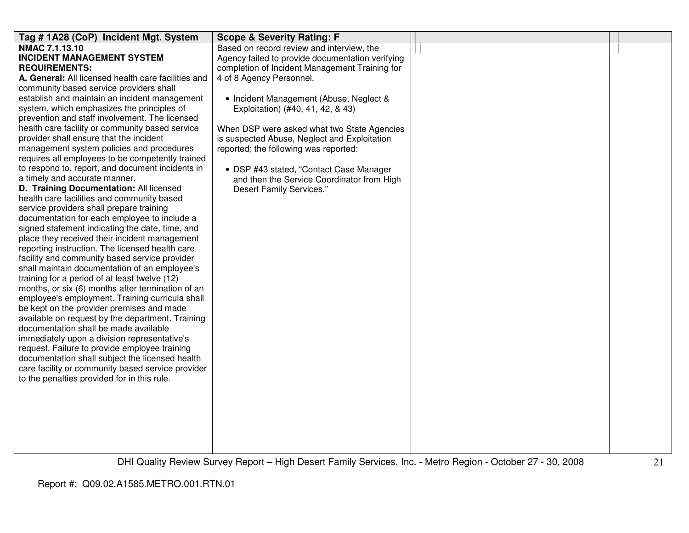| Tag #1A28 (CoP) Incident Mgt. System                | <b>Scope &amp; Severity Rating: F</b>            |  |
|-----------------------------------------------------|--------------------------------------------------|--|
| NMAC 7.1.13.10                                      | Based on record review and interview, the        |  |
| <b>INCIDENT MANAGEMENT SYSTEM</b>                   | Agency failed to provide documentation verifying |  |
| <b>REQUIREMENTS:</b>                                | completion of Incident Management Training for   |  |
| A. General: All licensed health care facilities and | 4 of 8 Agency Personnel.                         |  |
| community based service providers shall             |                                                  |  |
| establish and maintain an incident management       | • Incident Management (Abuse, Neglect &          |  |
| system, which emphasizes the principles of          | Exploitation) (#40, 41, 42, & 43)                |  |
| prevention and staff involvement. The licensed      |                                                  |  |
| health care facility or community based service     | When DSP were asked what two State Agencies      |  |
| provider shall ensure that the incident             | is suspected Abuse, Neglect and Exploitation     |  |
| management system policies and procedures           | reported; the following was reported:            |  |
| requires all employees to be competently trained    |                                                  |  |
| to respond to, report, and document incidents in    | • DSP #43 stated, "Contact Case Manager          |  |
| a timely and accurate manner.                       | and then the Service Coordinator from High       |  |
| D. Training Documentation: All licensed             | Desert Family Services."                         |  |
| health care facilities and community based          |                                                  |  |
| service providers shall prepare training            |                                                  |  |
| documentation for each employee to include a        |                                                  |  |
| signed statement indicating the date, time, and     |                                                  |  |
| place they received their incident management       |                                                  |  |
| reporting instruction. The licensed health care     |                                                  |  |
| facility and community based service provider       |                                                  |  |
| shall maintain documentation of an employee's       |                                                  |  |
| training for a period of at least twelve (12)       |                                                  |  |
| months, or six (6) months after termination of an   |                                                  |  |
| employee's employment. Training curricula shall     |                                                  |  |
| be kept on the provider premises and made           |                                                  |  |
| available on request by the department. Training    |                                                  |  |
| documentation shall be made available               |                                                  |  |
| immediately upon a division representative's        |                                                  |  |
| request. Failure to provide employee training       |                                                  |  |
| documentation shall subject the licensed health     |                                                  |  |
| care facility or community based service provider   |                                                  |  |
| to the penalties provided for in this rule.         |                                                  |  |
|                                                     |                                                  |  |
|                                                     |                                                  |  |
|                                                     |                                                  |  |
|                                                     |                                                  |  |
|                                                     |                                                  |  |
|                                                     |                                                  |  |
|                                                     |                                                  |  |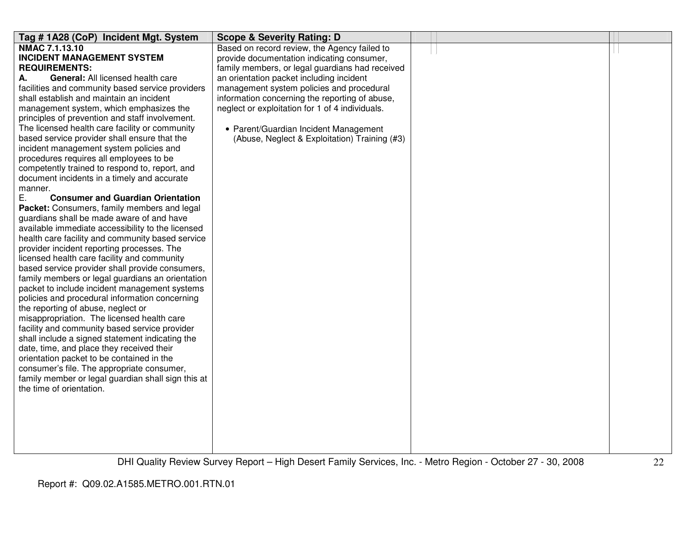| Tag # 1A28 (CoP) Incident Mgt. System              | <b>Scope &amp; Severity Rating: D</b>           |  |  |
|----------------------------------------------------|-------------------------------------------------|--|--|
| NMAC 7.1.13.10                                     | Based on record review, the Agency failed to    |  |  |
| <b>INCIDENT MANAGEMENT SYSTEM</b>                  | provide documentation indicating consumer,      |  |  |
| <b>REQUIREMENTS:</b>                               | family members, or legal guardians had received |  |  |
| <b>General: All licensed health care</b><br>А.     | an orientation packet including incident        |  |  |
| facilities and community based service providers   | management system policies and procedural       |  |  |
| shall establish and maintain an incident           | information concerning the reporting of abuse,  |  |  |
| management system, which emphasizes the            | neglect or exploitation for 1 of 4 individuals. |  |  |
| principles of prevention and staff involvement.    |                                                 |  |  |
| The licensed health care facility or community     | • Parent/Guardian Incident Management           |  |  |
| based service provider shall ensure that the       | (Abuse, Neglect & Exploitation) Training (#3)   |  |  |
| incident management system policies and            |                                                 |  |  |
| procedures requires all employees to be            |                                                 |  |  |
| competently trained to respond to, report, and     |                                                 |  |  |
| document incidents in a timely and accurate        |                                                 |  |  |
| manner.                                            |                                                 |  |  |
| Ε.<br><b>Consumer and Guardian Orientation</b>     |                                                 |  |  |
| Packet: Consumers, family members and legal        |                                                 |  |  |
| guardians shall be made aware of and have          |                                                 |  |  |
| available immediate accessibility to the licensed  |                                                 |  |  |
| health care facility and community based service   |                                                 |  |  |
| provider incident reporting processes. The         |                                                 |  |  |
| licensed health care facility and community        |                                                 |  |  |
| based service provider shall provide consumers,    |                                                 |  |  |
| family members or legal guardians an orientation   |                                                 |  |  |
| packet to include incident management systems      |                                                 |  |  |
| policies and procedural information concerning     |                                                 |  |  |
| the reporting of abuse, neglect or                 |                                                 |  |  |
| misappropriation. The licensed health care         |                                                 |  |  |
| facility and community based service provider      |                                                 |  |  |
| shall include a signed statement indicating the    |                                                 |  |  |
| date, time, and place they received their          |                                                 |  |  |
| orientation packet to be contained in the          |                                                 |  |  |
| consumer's file. The appropriate consumer,         |                                                 |  |  |
| family member or legal guardian shall sign this at |                                                 |  |  |
| the time of orientation.                           |                                                 |  |  |
|                                                    |                                                 |  |  |
|                                                    |                                                 |  |  |
|                                                    |                                                 |  |  |
|                                                    |                                                 |  |  |
|                                                    |                                                 |  |  |
|                                                    |                                                 |  |  |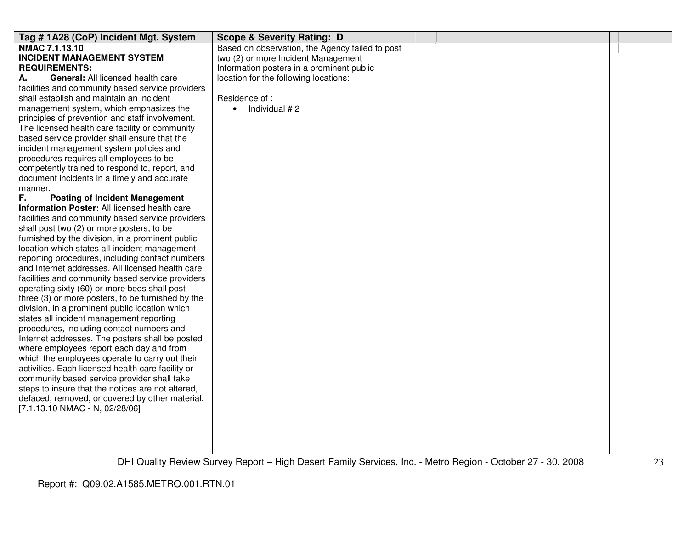| Tag #1A28 (CoP) Incident Mgt. System                                                                | <b>Scope &amp; Severity Rating: D</b>           |  |  |
|-----------------------------------------------------------------------------------------------------|-------------------------------------------------|--|--|
| NMAC 7.1.13.10                                                                                      | Based on observation, the Agency failed to post |  |  |
| <b>INCIDENT MANAGEMENT SYSTEM</b>                                                                   | two (2) or more Incident Management             |  |  |
| <b>REQUIREMENTS:</b>                                                                                | Information posters in a prominent public       |  |  |
| <b>General:</b> All licensed health care<br>А.                                                      | location for the following locations:           |  |  |
| facilities and community based service providers                                                    |                                                 |  |  |
| shall establish and maintain an incident                                                            | Residence of :                                  |  |  |
| management system, which emphasizes the                                                             | Individual #2<br>$\bullet$                      |  |  |
| principles of prevention and staff involvement.                                                     |                                                 |  |  |
| The licensed health care facility or community                                                      |                                                 |  |  |
| based service provider shall ensure that the                                                        |                                                 |  |  |
| incident management system policies and                                                             |                                                 |  |  |
| procedures requires all employees to be                                                             |                                                 |  |  |
| competently trained to respond to, report, and                                                      |                                                 |  |  |
| document incidents in a timely and accurate                                                         |                                                 |  |  |
| manner.                                                                                             |                                                 |  |  |
| F.<br><b>Posting of Incident Management</b>                                                         |                                                 |  |  |
| Information Poster: All licensed health care                                                        |                                                 |  |  |
| facilities and community based service providers                                                    |                                                 |  |  |
| shall post two (2) or more posters, to be                                                           |                                                 |  |  |
| furnished by the division, in a prominent public                                                    |                                                 |  |  |
| location which states all incident management                                                       |                                                 |  |  |
| reporting procedures, including contact numbers                                                     |                                                 |  |  |
| and Internet addresses. All licensed health care                                                    |                                                 |  |  |
| facilities and community based service providers                                                    |                                                 |  |  |
| operating sixty (60) or more beds shall post                                                        |                                                 |  |  |
| three (3) or more posters, to be furnished by the                                                   |                                                 |  |  |
| division, in a prominent public location which                                                      |                                                 |  |  |
| states all incident management reporting                                                            |                                                 |  |  |
| procedures, including contact numbers and                                                           |                                                 |  |  |
| Internet addresses. The posters shall be posted                                                     |                                                 |  |  |
| where employees report each day and from                                                            |                                                 |  |  |
| which the employees operate to carry out their<br>activities. Each licensed health care facility or |                                                 |  |  |
| community based service provider shall take                                                         |                                                 |  |  |
| steps to insure that the notices are not altered,                                                   |                                                 |  |  |
| defaced, removed, or covered by other material.                                                     |                                                 |  |  |
| [7.1.13.10 NMAC - N, 02/28/06]                                                                      |                                                 |  |  |
|                                                                                                     |                                                 |  |  |
|                                                                                                     |                                                 |  |  |
|                                                                                                     |                                                 |  |  |
|                                                                                                     |                                                 |  |  |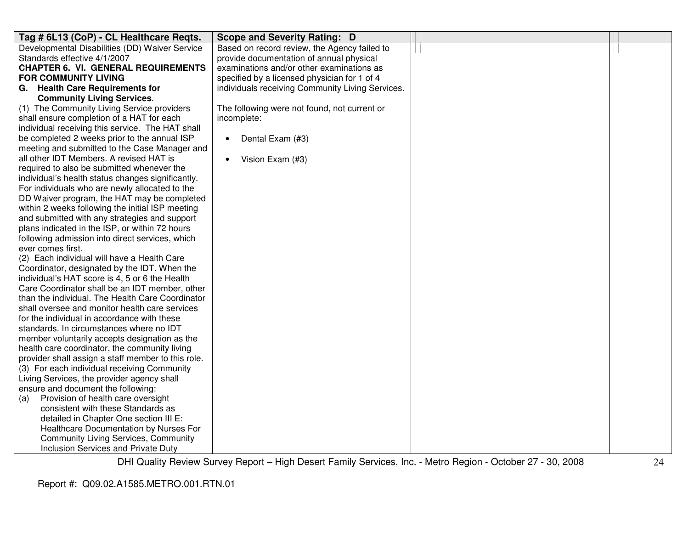| Tag # 6L13 (CoP) - CL Healthcare Regts.                                                  | Scope and Severity Rating: D                     |  |
|------------------------------------------------------------------------------------------|--------------------------------------------------|--|
| Developmental Disabilities (DD) Waiver Service                                           | Based on record review, the Agency failed to     |  |
| Standards effective 4/1/2007                                                             | provide documentation of annual physical         |  |
| <b>CHAPTER 6. VI. GENERAL REQUIREMENTS</b>                                               | examinations and/or other examinations as        |  |
| <b>FOR COMMUNITY LIVING</b>                                                              | specified by a licensed physician for 1 of 4     |  |
| G. Health Care Requirements for                                                          | individuals receiving Community Living Services. |  |
| <b>Community Living Services.</b>                                                        |                                                  |  |
| (1) The Community Living Service providers                                               | The following were not found, not current or     |  |
| shall ensure completion of a HAT for each                                                | incomplete:                                      |  |
| individual receiving this service. The HAT shall                                         |                                                  |  |
| be completed 2 weeks prior to the annual ISP                                             | Dental Exam (#3)<br>$\bullet$                    |  |
| meeting and submitted to the Case Manager and<br>all other IDT Members. A revised HAT is |                                                  |  |
| required to also be submitted whenever the                                               | Vision Exam (#3)                                 |  |
| individual's health status changes significantly.                                        |                                                  |  |
| For individuals who are newly allocated to the                                           |                                                  |  |
| DD Waiver program, the HAT may be completed                                              |                                                  |  |
| within 2 weeks following the initial ISP meeting                                         |                                                  |  |
| and submitted with any strategies and support                                            |                                                  |  |
| plans indicated in the ISP, or within 72 hours                                           |                                                  |  |
| following admission into direct services, which                                          |                                                  |  |
| ever comes first.                                                                        |                                                  |  |
| (2) Each individual will have a Health Care                                              |                                                  |  |
| Coordinator, designated by the IDT. When the                                             |                                                  |  |
| individual's HAT score is 4, 5 or 6 the Health                                           |                                                  |  |
| Care Coordinator shall be an IDT member, other                                           |                                                  |  |
| than the individual. The Health Care Coordinator                                         |                                                  |  |
| shall oversee and monitor health care services                                           |                                                  |  |
| for the individual in accordance with these<br>standards. In circumstances where no IDT  |                                                  |  |
| member voluntarily accepts designation as the                                            |                                                  |  |
| health care coordinator, the community living                                            |                                                  |  |
| provider shall assign a staff member to this role.                                       |                                                  |  |
| (3) For each individual receiving Community                                              |                                                  |  |
| Living Services, the provider agency shall                                               |                                                  |  |
| ensure and document the following:                                                       |                                                  |  |
| Provision of health care oversight<br>(a)                                                |                                                  |  |
| consistent with these Standards as                                                       |                                                  |  |
| detailed in Chapter One section III E:                                                   |                                                  |  |
| Healthcare Documentation by Nurses For                                                   |                                                  |  |
| <b>Community Living Services, Community</b>                                              |                                                  |  |
| Inclusion Services and Private Duty                                                      |                                                  |  |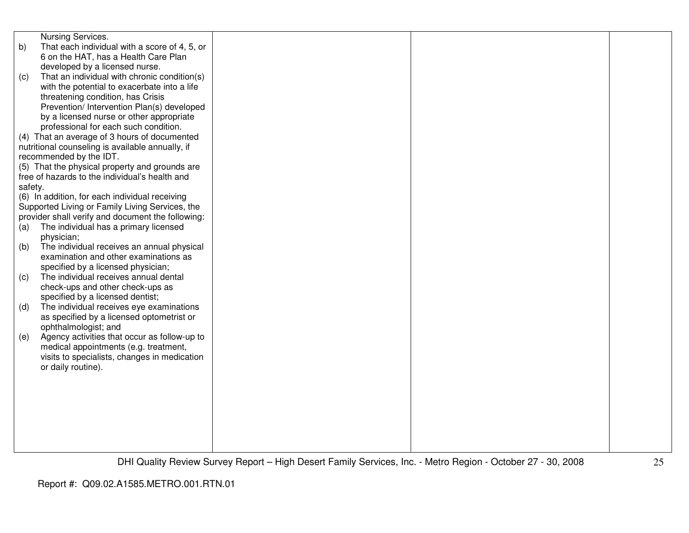|         | Nursing Services.                                 |  |  |
|---------|---------------------------------------------------|--|--|
| b)      | That each individual with a score of 4, 5, or     |  |  |
|         | 6 on the HAT, has a Health Care Plan              |  |  |
|         | developed by a licensed nurse.                    |  |  |
|         | That an individual with chronic condition(s)      |  |  |
| (c)     |                                                   |  |  |
|         | with the potential to exacerbate into a life      |  |  |
|         | threatening condition, has Crisis                 |  |  |
|         | Prevention/ Intervention Plan(s) developed        |  |  |
|         | by a licensed nurse or other appropriate          |  |  |
|         | professional for each such condition.             |  |  |
|         | (4) That an average of 3 hours of documented      |  |  |
|         | nutritional counseling is available annually, if  |  |  |
|         | recommended by the IDT.                           |  |  |
|         | (5) That the physical property and grounds are    |  |  |
|         | free of hazards to the individual's health and    |  |  |
| safety. |                                                   |  |  |
|         | (6) In addition, for each individual receiving    |  |  |
|         | Supported Living or Family Living Services, the   |  |  |
|         | provider shall verify and document the following: |  |  |
| (a)     | The individual has a primary licensed             |  |  |
|         | physician;                                        |  |  |
| (b)     | The individual receives an annual physical        |  |  |
|         | examination and other examinations as             |  |  |
|         | specified by a licensed physician;                |  |  |
| (c)     | The individual receives annual dental             |  |  |
|         | check-ups and other check-ups as                  |  |  |
|         | specified by a licensed dentist;                  |  |  |
| (d)     | The individual receives eye examinations          |  |  |
|         | as specified by a licensed optometrist or         |  |  |
|         | ophthalmologist; and                              |  |  |
| (e)     | Agency activities that occur as follow-up to      |  |  |
|         | medical appointments (e.g. treatment,             |  |  |
|         | visits to specialists, changes in medication      |  |  |
|         | or daily routine).                                |  |  |
|         |                                                   |  |  |
|         |                                                   |  |  |
|         |                                                   |  |  |
|         |                                                   |  |  |
|         |                                                   |  |  |
|         |                                                   |  |  |
|         |                                                   |  |  |
|         |                                                   |  |  |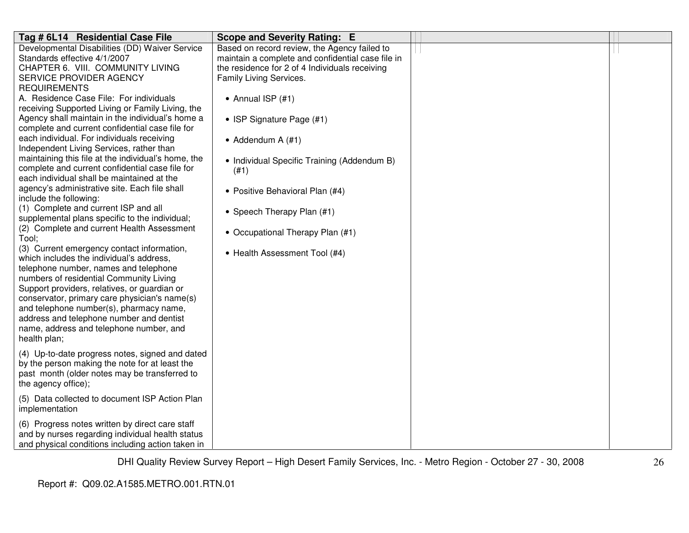| Tag # 6L14 Residential Case File                                                         | <b>Scope and Severity Rating: E</b>               |  |
|------------------------------------------------------------------------------------------|---------------------------------------------------|--|
| Developmental Disabilities (DD) Waiver Service                                           | Based on record review, the Agency failed to      |  |
| Standards effective 4/1/2007                                                             | maintain a complete and confidential case file in |  |
| CHAPTER 6. VIII. COMMUNITY LIVING                                                        | the residence for 2 of 4 Individuals receiving    |  |
| SERVICE PROVIDER AGENCY                                                                  | Family Living Services.                           |  |
| <b>REQUIREMENTS</b>                                                                      |                                                   |  |
| A. Residence Case File: For individuals                                                  | • Annual ISP $(#1)$                               |  |
| receiving Supported Living or Family Living, the                                         |                                                   |  |
| Agency shall maintain in the individual's home a                                         | • ISP Signature Page (#1)                         |  |
| complete and current confidential case file for                                          |                                                   |  |
| each individual. For individuals receiving                                               | • Addendum A $(#1)$                               |  |
| Independent Living Services, rather than                                                 |                                                   |  |
| maintaining this file at the individual's home, the                                      | • Individual Specific Training (Addendum B)       |  |
| complete and current confidential case file for                                          | (#1)                                              |  |
| each individual shall be maintained at the                                               |                                                   |  |
| agency's administrative site. Each file shall                                            | • Positive Behavioral Plan (#4)                   |  |
| include the following:                                                                   |                                                   |  |
| (1) Complete and current ISP and all                                                     | • Speech Therapy Plan (#1)                        |  |
| supplemental plans specific to the individual;                                           |                                                   |  |
| (2) Complete and current Health Assessment                                               | • Occupational Therapy Plan (#1)                  |  |
| Tool;                                                                                    |                                                   |  |
| (3) Current emergency contact information,                                               | • Health Assessment Tool (#4)                     |  |
| which includes the individual's address,                                                 |                                                   |  |
| telephone number, names and telephone                                                    |                                                   |  |
| numbers of residential Community Living                                                  |                                                   |  |
| Support providers, relatives, or guardian or                                             |                                                   |  |
| conservator, primary care physician's name(s)<br>and telephone number(s), pharmacy name, |                                                   |  |
|                                                                                          |                                                   |  |
| address and telephone number and dentist                                                 |                                                   |  |
| name, address and telephone number, and<br>health plan;                                  |                                                   |  |
|                                                                                          |                                                   |  |
| (4) Up-to-date progress notes, signed and dated                                          |                                                   |  |
| by the person making the note for at least the                                           |                                                   |  |
| past month (older notes may be transferred to                                            |                                                   |  |
| the agency office);                                                                      |                                                   |  |
| (5) Data collected to document ISP Action Plan                                           |                                                   |  |
| implementation                                                                           |                                                   |  |
|                                                                                          |                                                   |  |
| (6) Progress notes written by direct care staff                                          |                                                   |  |
| and by nurses regarding individual health status                                         |                                                   |  |
| and physical conditions including action taken in                                        |                                                   |  |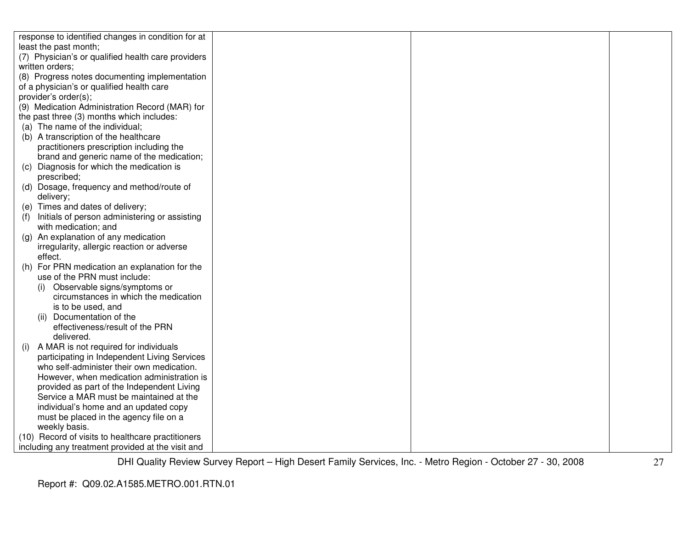| response to identified changes in condition for at   |  |  |
|------------------------------------------------------|--|--|
| least the past month;                                |  |  |
| (7) Physician's or qualified health care providers   |  |  |
| written orders;                                      |  |  |
| (8) Progress notes documenting implementation        |  |  |
| of a physician's or qualified health care            |  |  |
| provider's order(s);                                 |  |  |
| (9) Medication Administration Record (MAR) for       |  |  |
| the past three (3) months which includes:            |  |  |
| (a) The name of the individual;                      |  |  |
| (b) A transcription of the healthcare                |  |  |
| practitioners prescription including the             |  |  |
| brand and generic name of the medication;            |  |  |
| (c) Diagnosis for which the medication is            |  |  |
| prescribed;                                          |  |  |
| (d) Dosage, frequency and method/route of            |  |  |
| delivery;                                            |  |  |
| (e) Times and dates of delivery;                     |  |  |
| Initials of person administering or assisting<br>(f) |  |  |
| with medication; and                                 |  |  |
| (g) An explanation of any medication                 |  |  |
| irregularity, allergic reaction or adverse           |  |  |
| effect.                                              |  |  |
| (h) For PRN medication an explanation for the        |  |  |
| use of the PRN must include:                         |  |  |
| Observable signs/symptoms or<br>(i)                  |  |  |
| circumstances in which the medication                |  |  |
| is to be used, and                                   |  |  |
| (ii) Documentation of the                            |  |  |
| effectiveness/result of the PRN                      |  |  |
| delivered.                                           |  |  |
| A MAR is not required for individuals<br>(i)         |  |  |
| participating in Independent Living Services         |  |  |
| who self-administer their own medication.            |  |  |
| However, when medication administration is           |  |  |
| provided as part of the Independent Living           |  |  |
| Service a MAR must be maintained at the              |  |  |
| individual's home and an updated copy                |  |  |
| must be placed in the agency file on a               |  |  |
| weekly basis.                                        |  |  |
| (10) Record of visits to healthcare practitioners    |  |  |
| including any treatment provided at the visit and    |  |  |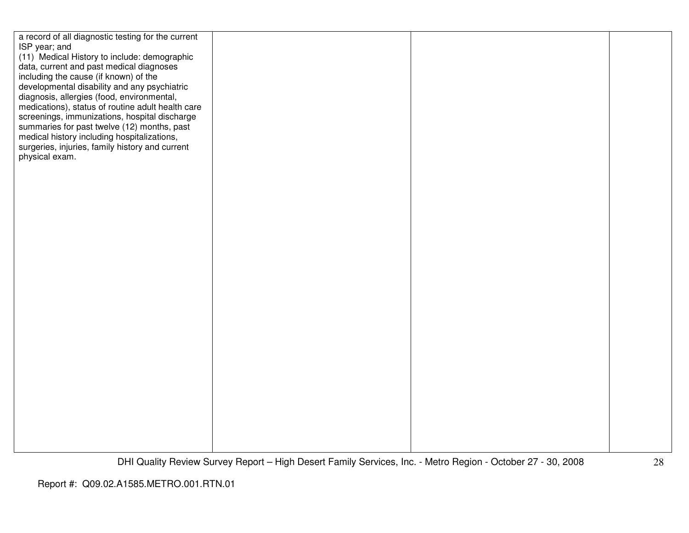| a record of all diagnostic testing for the current<br>ISP year; and<br>(11) Medical History to include: demographic<br>data, current and past medical diagnoses<br>including the cause (if known) of the<br>developmental disability and any psychiatric<br>diagnosis, allergies (food, environmental,<br>medications), status of routine adult health care<br>screenings, immunizations, hospital discharge<br>summaries for past twelve (12) months, past<br>medical history including hospitalizations,<br>surgeries, injuries, family history and current<br>physical exam. |  |  |
|---------------------------------------------------------------------------------------------------------------------------------------------------------------------------------------------------------------------------------------------------------------------------------------------------------------------------------------------------------------------------------------------------------------------------------------------------------------------------------------------------------------------------------------------------------------------------------|--|--|
|                                                                                                                                                                                                                                                                                                                                                                                                                                                                                                                                                                                 |  |  |
|                                                                                                                                                                                                                                                                                                                                                                                                                                                                                                                                                                                 |  |  |